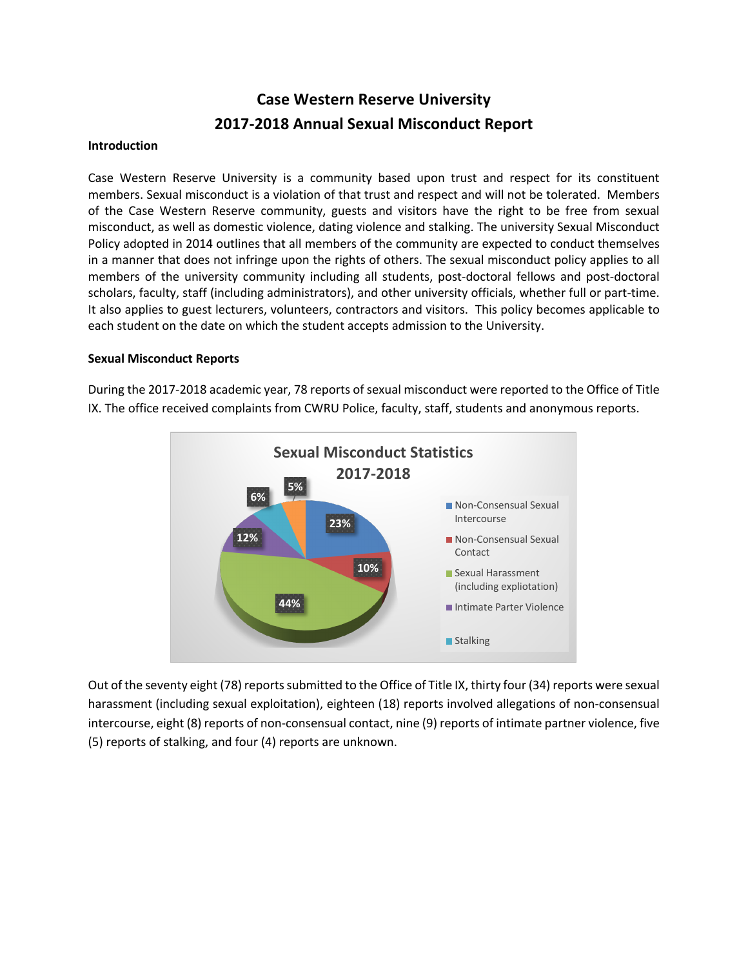# **Case Western Reserve University 2017-2018 Annual Sexual Misconduct Report**

#### **Introduction**

Case Western Reserve University is a community based upon trust and respect for its constituent members. Sexual misconduct is a violation of that trust and respect and will not be tolerated. Members of the Case Western Reserve community, guests and visitors have the right to be free from sexual misconduct, as well as domestic violence, dating violence and stalking. The university Sexual Misconduct Policy adopted in 2014 outlines that all members of the community are expected to conduct themselves in a manner that does not infringe upon the rights of others. The sexual misconduct policy applies to all members of the university community including all students, post-doctoral fellows and post-doctoral scholars, faculty, staff (including administrators), and other university officials, whether full or part-time. It also applies to guest lecturers, volunteers, contractors and visitors. This policy becomes applicable to each student on the date on which the student accepts admission to the University.

#### **Sexual Misconduct Reports**

During the 2017-2018 academic year, 78 reports of sexual misconduct were reported to the Office of Title IX. The office received complaints from CWRU Police, faculty, staff, students and anonymous reports.



Out of the seventy eight (78) reportssubmitted to the Office of Title IX, thirty four (34) reports were sexual harassment (including sexual exploitation), eighteen (18) reports involved allegations of non-consensual intercourse, eight (8) reports of non-consensual contact, nine (9) reports of intimate partner violence, five (5) reports of stalking, and four (4) reports are unknown.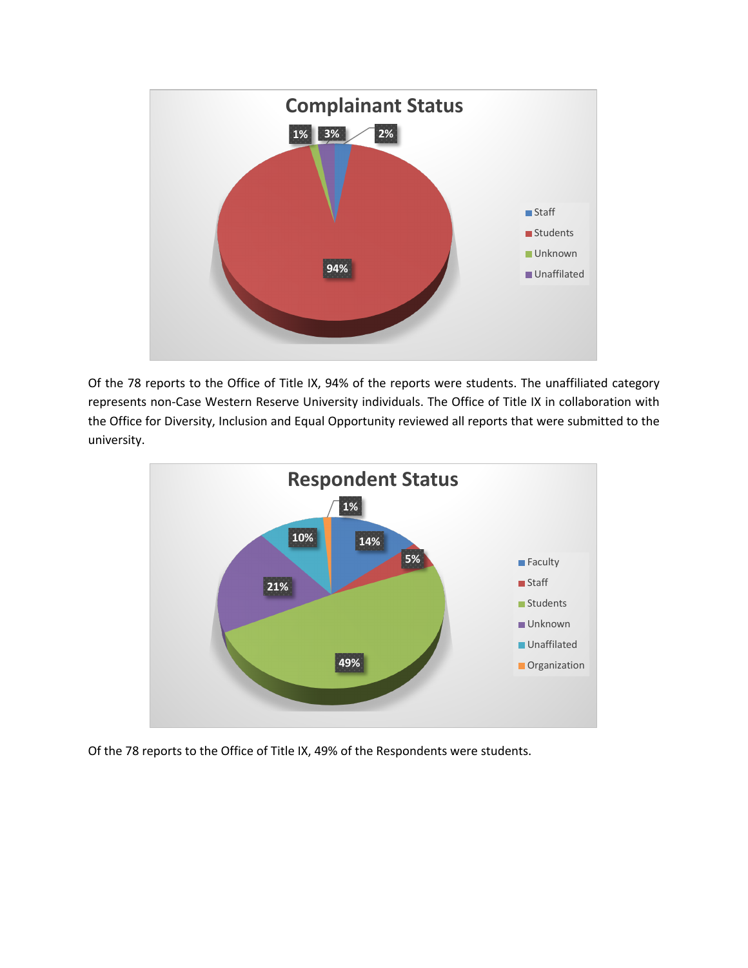

Of the 78 reports to the Office of Title IX, 94% of the reports were students. The unaffiliated category represents non-Case Western Reserve University individuals. The Office of Title IX in collaboration with the Office for Diversity, Inclusion and Equal Opportunity reviewed all reports that were submitted to the university.



Of the 78 reports to the Office of Title IX, 49% of the Respondents were students.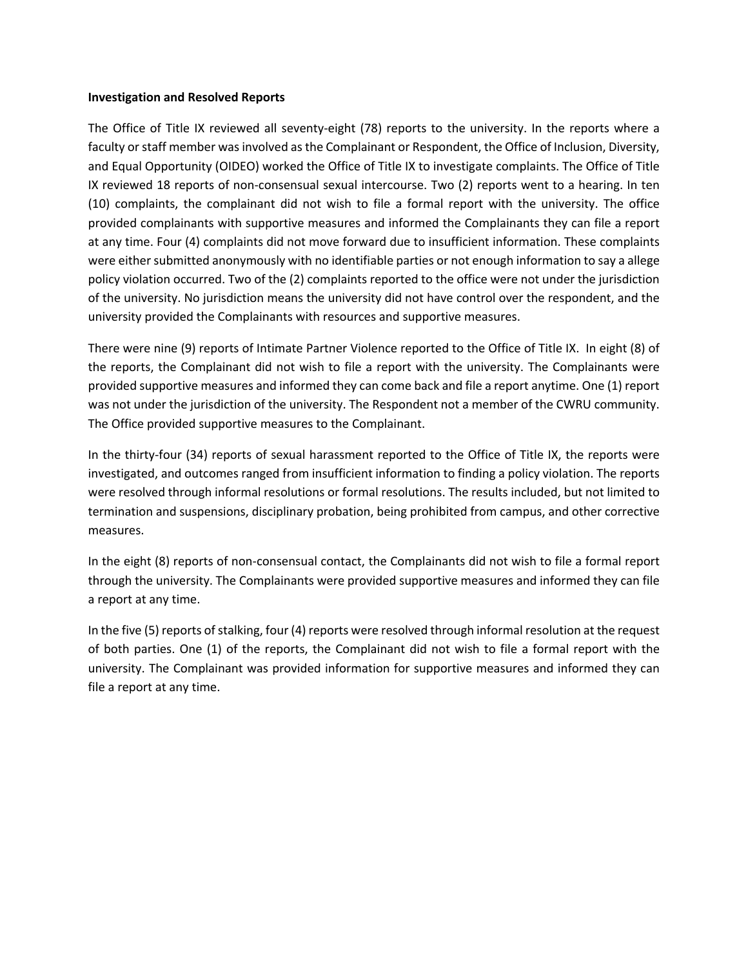#### **Investigation and Resolved Reports**

The Office of Title IX reviewed all seventy-eight (78) reports to the university. In the reports where a faculty or staff member was involved as the Complainant or Respondent, the Office of Inclusion, Diversity, and Equal Opportunity (OIDEO) worked the Office of Title IX to investigate complaints. The Office of Title IX reviewed 18 reports of non-consensual sexual intercourse. Two (2) reports went to a hearing. In ten (10) complaints, the complainant did not wish to file a formal report with the university. The office provided complainants with supportive measures and informed the Complainants they can file a report at any time. Four (4) complaints did not move forward due to insufficient information. These complaints were either submitted anonymously with no identifiable parties or not enough information to say a allege policy violation occurred. Two of the (2) complaints reported to the office were not under the jurisdiction of the university. No jurisdiction means the university did not have control over the respondent, and the university provided the Complainants with resources and supportive measures.

There were nine (9) reports of Intimate Partner Violence reported to the Office of Title IX. In eight (8) of the reports, the Complainant did not wish to file a report with the university. The Complainants were provided supportive measures and informed they can come back and file a report anytime. One (1) report was not under the jurisdiction of the university. The Respondent not a member of the CWRU community. The Office provided supportive measures to the Complainant.

In the thirty-four (34) reports of sexual harassment reported to the Office of Title IX, the reports were investigated, and outcomes ranged from insufficient information to finding a policy violation. The reports were resolved through informal resolutions or formal resolutions. The results included, but not limited to termination and suspensions, disciplinary probation, being prohibited from campus, and other corrective measures.

In the eight (8) reports of non-consensual contact, the Complainants did not wish to file a formal report through the university. The Complainants were provided supportive measures and informed they can file a report at any time.

In the five (5) reports of stalking, four (4) reports were resolved through informal resolution at the request of both parties. One (1) of the reports, the Complainant did not wish to file a formal report with the university. The Complainant was provided information for supportive measures and informed they can file a report at any time.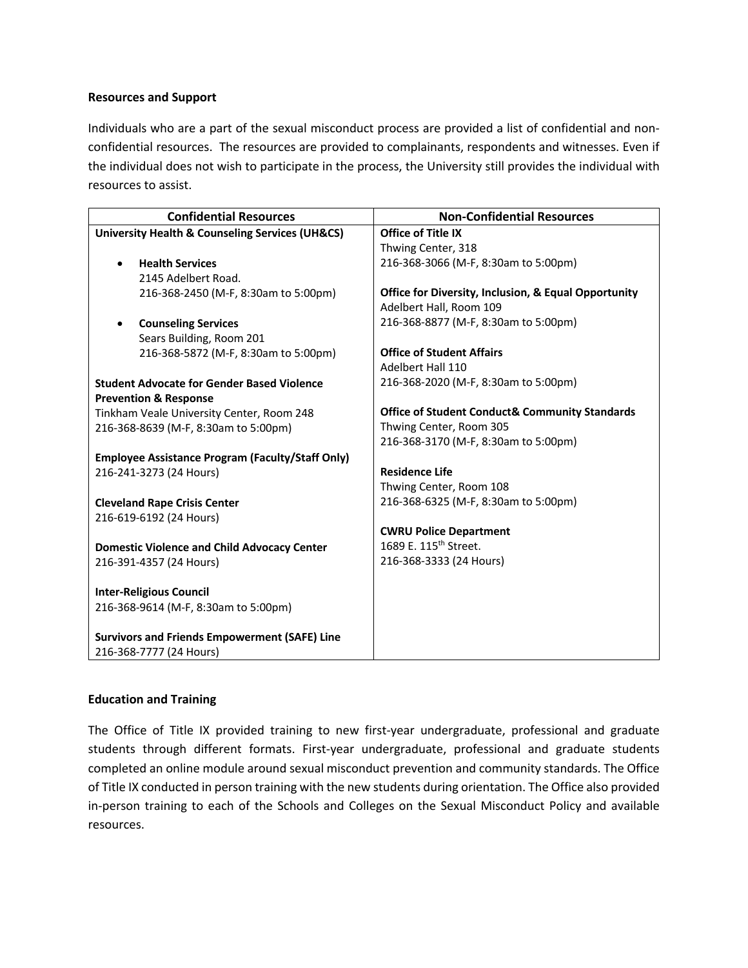### **Resources and Support**

Individuals who are a part of the sexual misconduct process are provided a list of confidential and nonconfidential resources. The resources are provided to complainants, respondents and witnesses. Even if the individual does not wish to participate in the process, the University still provides the individual with resources to assist.

| <b>Confidential Resources</b>                                  | <b>Non-Confidential Resources</b>                         |
|----------------------------------------------------------------|-----------------------------------------------------------|
| <b>University Health &amp; Counseling Services (UH&amp;CS)</b> | <b>Office of Title IX</b>                                 |
|                                                                | Thwing Center, 318                                        |
| <b>Health Services</b>                                         | 216-368-3066 (M-F, 8:30am to 5:00pm)                      |
| 2145 Adelbert Road.                                            |                                                           |
| 216-368-2450 (M-F, 8:30am to 5:00pm)                           | Office for Diversity, Inclusion, & Equal Opportunity      |
|                                                                | Adelbert Hall, Room 109                                   |
| <b>Counseling Services</b>                                     | 216-368-8877 (M-F, 8:30am to 5:00pm)                      |
| Sears Building, Room 201                                       |                                                           |
| 216-368-5872 (M-F, 8:30am to 5:00pm)                           | <b>Office of Student Affairs</b>                          |
|                                                                | Adelbert Hall 110                                         |
| <b>Student Advocate for Gender Based Violence</b>              | 216-368-2020 (M-F, 8:30am to 5:00pm)                      |
| <b>Prevention &amp; Response</b>                               |                                                           |
| Tinkham Veale University Center, Room 248                      | <b>Office of Student Conduct&amp; Community Standards</b> |
| 216-368-8639 (M-F, 8:30am to 5:00pm)                           | Thwing Center, Room 305                                   |
|                                                                | 216-368-3170 (M-F, 8:30am to 5:00pm)                      |
| <b>Employee Assistance Program (Faculty/Staff Only)</b>        |                                                           |
| 216-241-3273 (24 Hours)                                        | <b>Residence Life</b>                                     |
|                                                                | Thwing Center, Room 108                                   |
| <b>Cleveland Rape Crisis Center</b>                            | 216-368-6325 (M-F, 8:30am to 5:00pm)                      |
| 216-619-6192 (24 Hours)                                        |                                                           |
|                                                                | <b>CWRU Police Department</b>                             |
| <b>Domestic Violence and Child Advocacy Center</b>             | 1689 E. 115 <sup>th</sup> Street.                         |
| 216-391-4357 (24 Hours)                                        | 216-368-3333 (24 Hours)                                   |
|                                                                |                                                           |
| <b>Inter-Religious Council</b>                                 |                                                           |
| 216-368-9614 (M-F, 8:30am to 5:00pm)                           |                                                           |
|                                                                |                                                           |
| <b>Survivors and Friends Empowerment (SAFE) Line</b>           |                                                           |
| 216-368-7777 (24 Hours)                                        |                                                           |

#### **Education and Training**

The Office of Title IX provided training to new first-year undergraduate, professional and graduate students through different formats. First-year undergraduate, professional and graduate students completed an online module around sexual misconduct prevention and community standards. The Office of Title IX conducted in person training with the new students during orientation. The Office also provided in-person training to each of the Schools and Colleges on the Sexual Misconduct Policy and available resources.